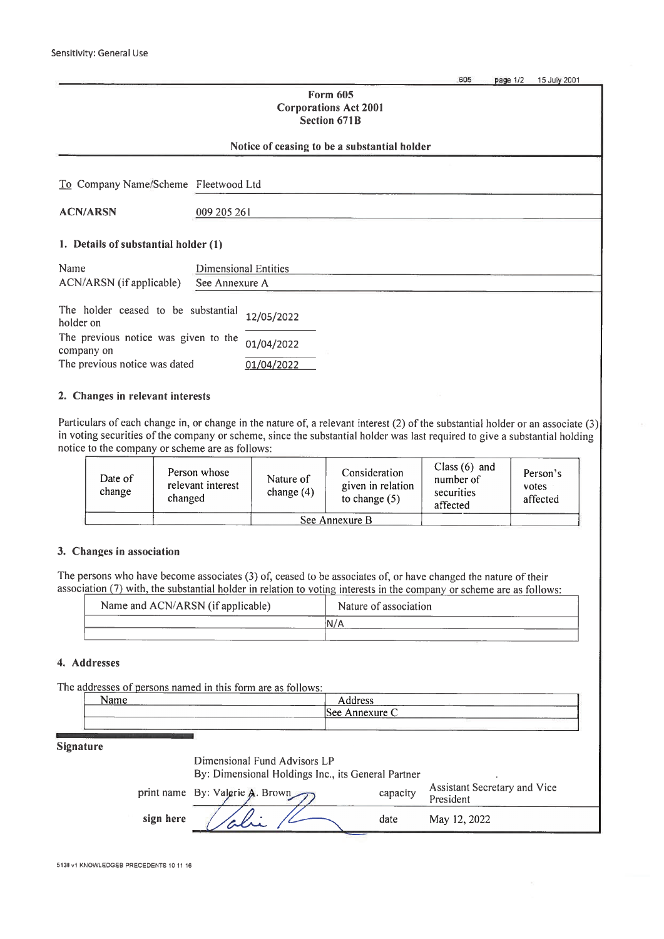605 page 1/2 15 July 2001

### **Form 605 Corporations Act 2001** Section 671B

|  |  | Notice of ceasing to be a substantial holder |  |
|--|--|----------------------------------------------|--|
|  |  |                                              |  |

| To Company Name/Scheme Fleetwood Ltd                                                |                                               |                          |  |
|-------------------------------------------------------------------------------------|-----------------------------------------------|--------------------------|--|
| <b>ACN/ARSN</b>                                                                     | 009 205 261                                   |                          |  |
| 1. Details of substantial holder (1)                                                |                                               |                          |  |
| Name<br>ACN/ARSN (if applicable)                                                    | <b>Dimensional Entities</b><br>See Annexure A |                          |  |
| The holder ceased to be substantial<br>holder on                                    |                                               | 12/05/2022               |  |
| The previous notice was given to the<br>company on<br>The previous notice was dated |                                               | 01/04/2022<br>01/04/2022 |  |

## 2. Changes in relevant interests

Particulars of each change in, or change in the nature of, a relevant interest (2) of the substantial holder or an associate (3) in voting securities of the company or scheme, since the substantial holder was last required to give a substantial holding notice to the company or scheme are as follows:

| Date of<br>change | Person whose<br>relevant interest<br>changed | Nature of<br>change $(4)$ | Consideration<br>given in relation<br>to change $(5)$ | Class $(6)$ and<br>number of<br>securities<br>affected | Person's<br>votes<br>affected |
|-------------------|----------------------------------------------|---------------------------|-------------------------------------------------------|--------------------------------------------------------|-------------------------------|
|                   |                                              |                           | See Annexure B                                        |                                                        |                               |

### 3. Changes in association

The persons who have become associates (3) of, ceased to be associates of, or have changed the nature of their association (7) with, the substantial holder in relation to voting interests in the company or scheme are as follows:

| Name and ACN/ARSN (if applicable) | Nature of association |
|-----------------------------------|-----------------------|
|                                   | ١N                    |
|                                   |                       |

### 4. Addresses

The addresses of persons named in this form are as follows:

| $\sim$ $\sim$<br>Nama<br>1au | drocc<br>л<br>Audicas   | <b>The Contract Contract</b> |
|------------------------------|-------------------------|------------------------------|
| __<br>----                   | See<br>i nnaviira<br>__ | ___________                  |
|                              |                         |                              |

| <b>Signature</b> |  |
|------------------|--|
|------------------|--|

|           | Dimensional Fund Advisors LP<br>By: Dimensional Holdings Inc., its General Partner |          |                                           |
|-----------|------------------------------------------------------------------------------------|----------|-------------------------------------------|
|           | print name By: Valgrie A. Brown                                                    | capacity | Assistant Secretary and Vice<br>President |
| sign here |                                                                                    | date     | May 12, 2022                              |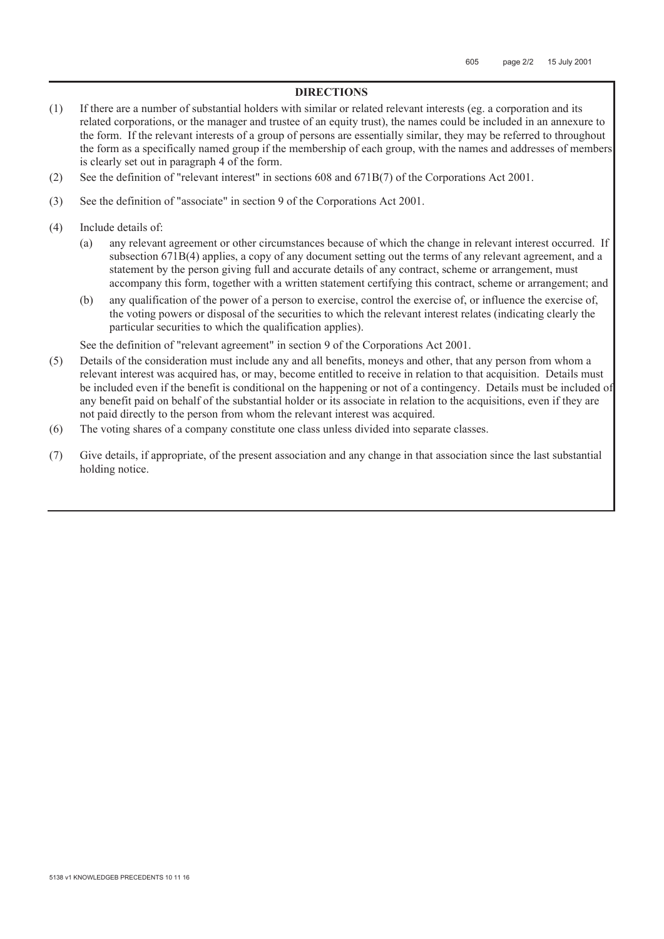# **DIRECTIONS**

- (1) If there are a number of substantial holders with similar or related relevant interests (eg. a corporation and its related corporations, or the manager and trustee of an equity trust), the names could be included in an annexure to the form. If the relevant interests of a group of persons are essentially similar, they may be referred to throughout the form as a specifically named group if the membership of each group, with the names and addresses of members is clearly set out in paragraph 4 of the form.
- (2) See the definition of "relevant interest" in sections 608 and 671B(7) of the Corporations Act 2001.
- (3) See the definition of "associate" in section 9 of the Corporations Act 2001.
- (4) Include details of:
	- (a) any relevant agreement or other circumstances because of which the change in relevant interest occurred. If subsection 671B(4) applies, a copy of any document setting out the terms of any relevant agreement, and a statement by the person giving full and accurate details of any contract, scheme or arrangement, must accompany this form, together with a written statement certifying this contract, scheme or arrangement; and
	- (b) any qualification of the power of a person to exercise, control the exercise of, or influence the exercise of, the voting powers or disposal of the securities to which the relevant interest relates (indicating clearly the particular securities to which the qualification applies).

See the definition of "relevant agreement" in section 9 of the Corporations Act 2001.

- (5) Details of the consideration must include any and all benefits, moneys and other, that any person from whom a relevant interest was acquired has, or may, become entitled to receive in relation to that acquisition. Details must be included even if the benefit is conditional on the happening or not of a contingency. Details must be included of any benefit paid on behalf of the substantial holder or its associate in relation to the acquisitions, even if they are not paid directly to the person from whom the relevant interest was acquired.
- (6) The voting shares of a company constitute one class unless divided into separate classes.
- (7) Give details, if appropriate, of the present association and any change in that association since the last substantial holding notice.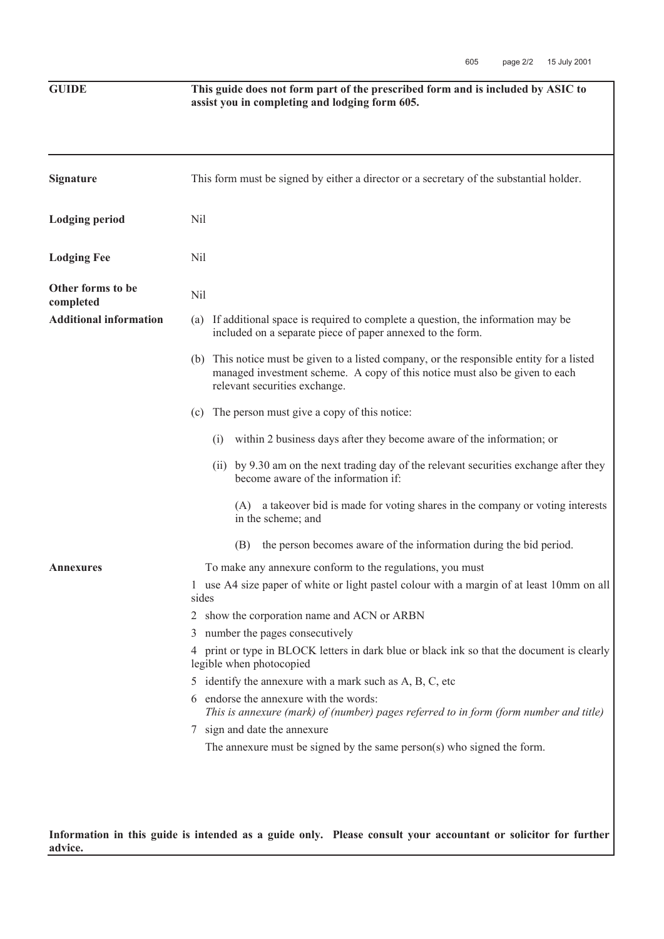**GUIDE This guide does not form part of the prescribed form and is included by ASIC to assist you in completing and lodging form 605.** 

| <b>Signature</b>               | This form must be signed by either a director or a secretary of the substantial holder.                                                                                                                   |
|--------------------------------|-----------------------------------------------------------------------------------------------------------------------------------------------------------------------------------------------------------|
| <b>Lodging period</b>          | Nil                                                                                                                                                                                                       |
| <b>Lodging Fee</b>             | Nil                                                                                                                                                                                                       |
| Other forms to be<br>completed | Nil                                                                                                                                                                                                       |
| <b>Additional information</b>  | (a) If additional space is required to complete a question, the information may be<br>included on a separate piece of paper annexed to the form.                                                          |
|                                | (b) This notice must be given to a listed company, or the responsible entity for a listed<br>managed investment scheme. A copy of this notice must also be given to each<br>relevant securities exchange. |
|                                | (c) The person must give a copy of this notice:                                                                                                                                                           |
|                                | within 2 business days after they become aware of the information; or<br>(i)                                                                                                                              |
|                                | (ii) by 9.30 am on the next trading day of the relevant securities exchange after they<br>become aware of the information if:                                                                             |
|                                | (A) a takeover bid is made for voting shares in the company or voting interests<br>in the scheme; and                                                                                                     |
|                                | the person becomes aware of the information during the bid period.<br>(B)                                                                                                                                 |
| <b>Annexures</b>               | To make any annexure conform to the regulations, you must                                                                                                                                                 |
|                                | 1 use A4 size paper of white or light pastel colour with a margin of at least 10mm on all<br>sides                                                                                                        |
|                                | 2 show the corporation name and ACN or ARBN                                                                                                                                                               |
|                                | 3 number the pages consecutively                                                                                                                                                                          |
|                                | 4 print or type in BLOCK letters in dark blue or black ink so that the document is clearly<br>legible when photocopied                                                                                    |
|                                | 5 identify the annexure with a mark such as A, B, C, etc                                                                                                                                                  |
|                                | 6 endorse the annexure with the words:<br>This is annexure (mark) of (number) pages referred to in form (form number and title)                                                                           |
|                                | 7 sign and date the annexure                                                                                                                                                                              |
|                                | The annexure must be signed by the same person(s) who signed the form.                                                                                                                                    |
|                                |                                                                                                                                                                                                           |
|                                |                                                                                                                                                                                                           |

**Information in this guide is intended as a guide only. Please consult your accountant or solicitor for further advice.**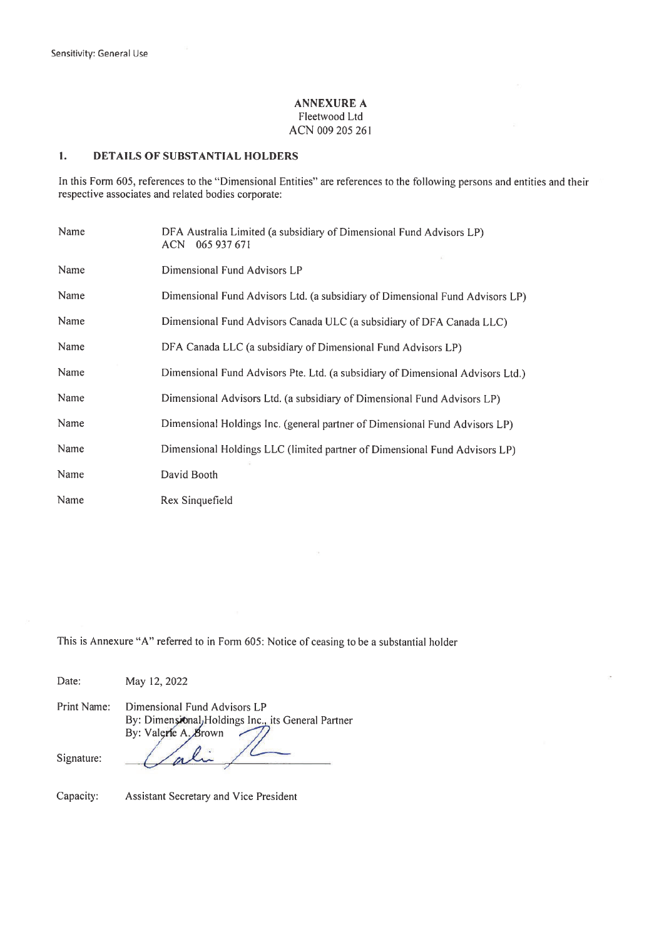### **ANNEXURE A** Fleetwood Ltd ACN 009 205 261

#### $\mathbf{1}$ . **DETAILS OF SUBSTANTIAL HOLDERS**

In this Form 605, references to the "Dimensional Entities" are references to the following persons and entities and their respective associates and related bodies corporate:

| Name | DFA Australia Limited (a subsidiary of Dimensional Fund Advisors LP)<br>ACN 065 937 671 |
|------|-----------------------------------------------------------------------------------------|
| Name | Dimensional Fund Advisors LP                                                            |
| Name | Dimensional Fund Advisors Ltd. (a subsidiary of Dimensional Fund Advisors LP)           |
| Name | Dimensional Fund Advisors Canada ULC (a subsidiary of DFA Canada LLC)                   |
| Name | DFA Canada LLC (a subsidiary of Dimensional Fund Advisors LP)                           |
| Name | Dimensional Fund Advisors Pte. Ltd. (a subsidiary of Dimensional Advisors Ltd.)         |
| Name | Dimensional Advisors Ltd. (a subsidiary of Dimensional Fund Advisors LP)                |
| Name | Dimensional Holdings Inc. (general partner of Dimensional Fund Advisors LP)             |
| Name | Dimensional Holdings LLC (limited partner of Dimensional Fund Advisors LP)              |
| Name | David Booth                                                                             |
| Name | Rex Sinquefield                                                                         |

 $\alpha$ 

This is Annexure "A" referred to in Form 605: Notice of ceasing to be a substantial holder

| Date:       | May 12, 2022                                                                                                |
|-------------|-------------------------------------------------------------------------------------------------------------|
| Print Name: | Dimensional Fund Advisors LP<br>By: Dimensional, Holdings Inc., its General Partner<br>By: Valerie A. Brown |
| Signature:  |                                                                                                             |

Capacity: Assistant Secretary and Vice President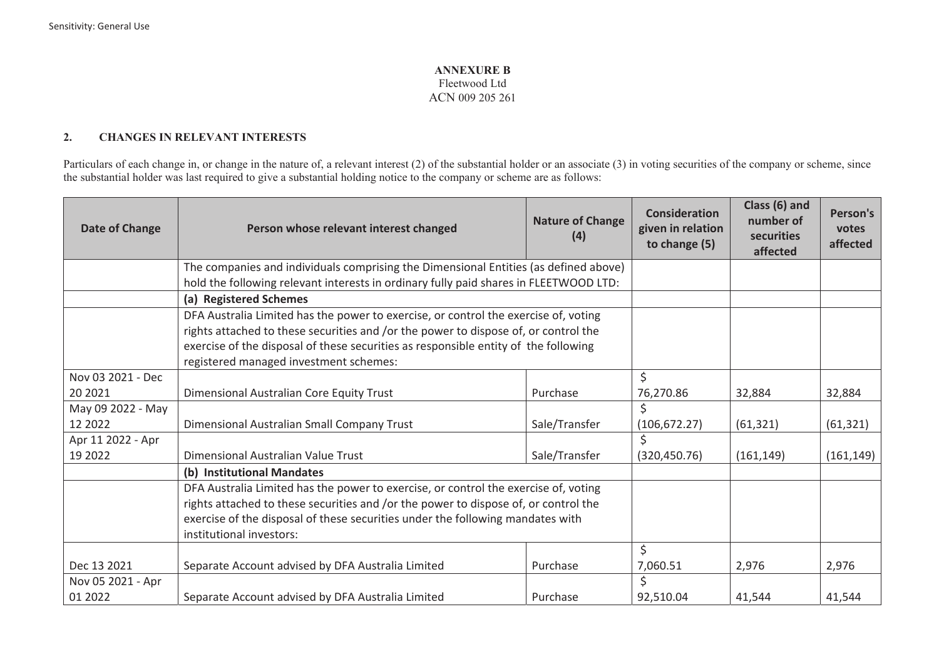### **ANNEXURE B**  Fleetwood Ltd ACN 009 205 261

## **2. CHANGES IN RELEVANT INTERESTS**

Particulars of each change in, or change in the nature of, a relevant interest (2) of the substantial holder or an associate (3) in voting securities of the company or scheme, since the substantial holder was last required to give a substantial holding notice to the company or scheme are as follows:

| <b>Date of Change</b> | Person whose relevant interest changed                                                                                                                                                                                                                                                                      | <b>Nature of Change</b><br>(4) | <b>Consideration</b><br>given in relation<br>to change (5) | Class (6) and<br>number of<br>securities<br>affected | Person's<br>votes<br>affected |
|-----------------------|-------------------------------------------------------------------------------------------------------------------------------------------------------------------------------------------------------------------------------------------------------------------------------------------------------------|--------------------------------|------------------------------------------------------------|------------------------------------------------------|-------------------------------|
|                       | The companies and individuals comprising the Dimensional Entities (as defined above)                                                                                                                                                                                                                        |                                |                                                            |                                                      |                               |
|                       | hold the following relevant interests in ordinary fully paid shares in FLEETWOOD LTD:                                                                                                                                                                                                                       |                                |                                                            |                                                      |                               |
|                       | (a) Registered Schemes                                                                                                                                                                                                                                                                                      |                                |                                                            |                                                      |                               |
|                       | DFA Australia Limited has the power to exercise, or control the exercise of, voting<br>rights attached to these securities and /or the power to dispose of, or control the<br>exercise of the disposal of these securities as responsible entity of the following<br>registered managed investment schemes: |                                |                                                            |                                                      |                               |
| Nov 03 2021 - Dec     |                                                                                                                                                                                                                                                                                                             |                                | Ś.                                                         |                                                      |                               |
| 20 20 21              | Dimensional Australian Core Equity Trust                                                                                                                                                                                                                                                                    | Purchase                       | 76,270.86                                                  | 32,884                                               | 32,884                        |
| May 09 2022 - May     |                                                                                                                                                                                                                                                                                                             |                                | Ś.                                                         |                                                      |                               |
| 12 2022               | Dimensional Australian Small Company Trust                                                                                                                                                                                                                                                                  | Sale/Transfer                  | (106, 672.27)                                              | (61, 321)                                            | (61, 321)                     |
| Apr 11 2022 - Apr     |                                                                                                                                                                                                                                                                                                             |                                | \$                                                         |                                                      |                               |
| 19 20 22              | Dimensional Australian Value Trust                                                                                                                                                                                                                                                                          | Sale/Transfer                  | (320, 450.76)                                              | (161, 149)                                           | (161, 149)                    |
|                       | (b) Institutional Mandates                                                                                                                                                                                                                                                                                  |                                |                                                            |                                                      |                               |
|                       | DFA Australia Limited has the power to exercise, or control the exercise of, voting                                                                                                                                                                                                                         |                                |                                                            |                                                      |                               |
|                       | rights attached to these securities and /or the power to dispose of, or control the                                                                                                                                                                                                                         |                                |                                                            |                                                      |                               |
|                       | exercise of the disposal of these securities under the following mandates with                                                                                                                                                                                                                              |                                |                                                            |                                                      |                               |
|                       | institutional investors:                                                                                                                                                                                                                                                                                    |                                |                                                            |                                                      |                               |
|                       |                                                                                                                                                                                                                                                                                                             |                                | $\mathsf{S}$                                               |                                                      |                               |
| Dec 13 2021           | Separate Account advised by DFA Australia Limited                                                                                                                                                                                                                                                           | Purchase                       | 7,060.51                                                   | 2,976                                                | 2,976                         |
| Nov 05 2021 - Apr     |                                                                                                                                                                                                                                                                                                             |                                | \$                                                         |                                                      |                               |
| 01 2022               | Separate Account advised by DFA Australia Limited                                                                                                                                                                                                                                                           | Purchase                       | 92,510.04                                                  | 41,544                                               | 41,544                        |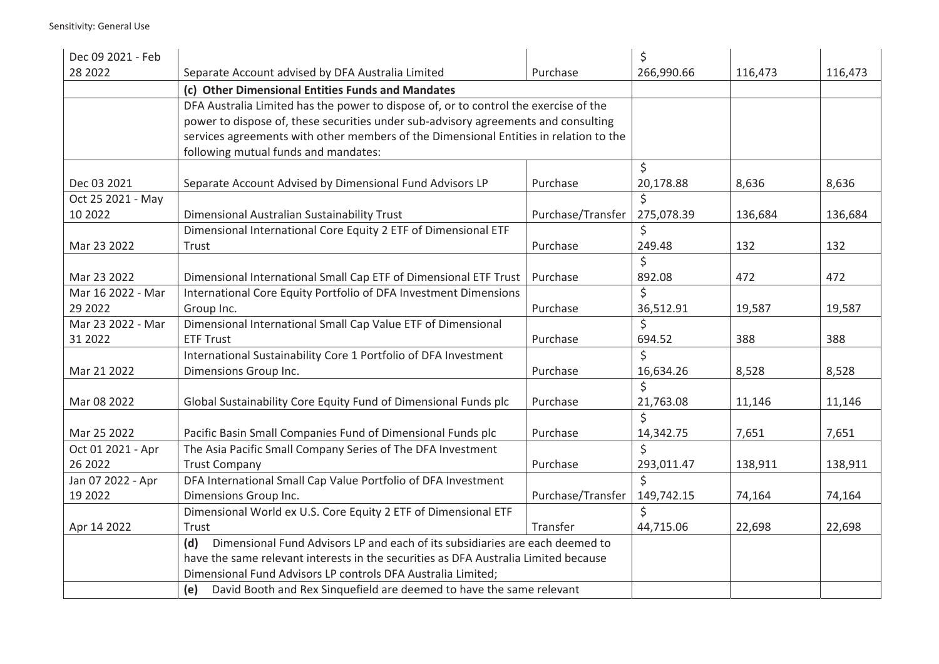| Dec 09 2021 - Feb |                                                                                       |                   | \$                      |         |         |
|-------------------|---------------------------------------------------------------------------------------|-------------------|-------------------------|---------|---------|
| 28 20 22          | Separate Account advised by DFA Australia Limited                                     | Purchase          | 266,990.66              | 116,473 | 116,473 |
|                   | (c) Other Dimensional Entities Funds and Mandates                                     |                   |                         |         |         |
|                   | DFA Australia Limited has the power to dispose of, or to control the exercise of the  |                   |                         |         |         |
|                   | power to dispose of, these securities under sub-advisory agreements and consulting    |                   |                         |         |         |
|                   | services agreements with other members of the Dimensional Entities in relation to the |                   |                         |         |         |
|                   | following mutual funds and mandates:                                                  |                   |                         |         |         |
|                   |                                                                                       |                   | \$                      |         |         |
| Dec 03 2021       | Separate Account Advised by Dimensional Fund Advisors LP                              | Purchase          | 20,178.88               | 8,636   | 8,636   |
| Oct 25 2021 - May |                                                                                       |                   | $\dot{\mathsf{S}}$      |         |         |
| 10 20 22          | Dimensional Australian Sustainability Trust                                           | Purchase/Transfer | 275,078.39              | 136,684 | 136,684 |
|                   | Dimensional International Core Equity 2 ETF of Dimensional ETF                        |                   | $\overline{\mathsf{S}}$ |         |         |
| Mar 23 2022       | Trust                                                                                 | Purchase          | 249.48                  | 132     | 132     |
|                   |                                                                                       |                   | Ś.                      |         |         |
| Mar 23 2022       | Dimensional International Small Cap ETF of Dimensional ETF Trust                      | Purchase          | 892.08                  | 472     | 472     |
| Mar 16 2022 - Mar | International Core Equity Portfolio of DFA Investment Dimensions                      |                   | Ś.                      |         |         |
| 29 20 22          | Group Inc.                                                                            | Purchase          | 36,512.91               | 19,587  | 19,587  |
| Mar 23 2022 - Mar | Dimensional International Small Cap Value ETF of Dimensional                          |                   | \$                      |         |         |
| 31 2022           | <b>ETF Trust</b>                                                                      | Purchase          | 694.52                  | 388     | 388     |
|                   | International Sustainability Core 1 Portfolio of DFA Investment                       |                   | Ś.                      |         |         |
| Mar 21 2022       | Dimensions Group Inc.                                                                 | Purchase          | 16,634.26               | 8,528   | 8,528   |
|                   |                                                                                       |                   | \$                      |         |         |
| Mar 08 2022       | Global Sustainability Core Equity Fund of Dimensional Funds plc                       | Purchase          | 21,763.08               | 11,146  | 11,146  |
|                   |                                                                                       |                   | \$                      |         |         |
| Mar 25 2022       | Pacific Basin Small Companies Fund of Dimensional Funds plc                           | Purchase          | 14,342.75               | 7,651   | 7,651   |
| Oct 01 2021 - Apr | The Asia Pacific Small Company Series of The DFA Investment                           |                   | Ś.                      |         |         |
| 26 2022           | <b>Trust Company</b>                                                                  | Purchase          | 293,011.47              | 138,911 | 138,911 |
| Jan 07 2022 - Apr | DFA International Small Cap Value Portfolio of DFA Investment                         |                   | $\overline{S}$          |         |         |
| 19 20 22          | Dimensions Group Inc.                                                                 | Purchase/Transfer | 149,742.15              | 74,164  | 74,164  |
|                   | Dimensional World ex U.S. Core Equity 2 ETF of Dimensional ETF                        |                   | Ś.                      |         |         |
| Apr 14 2022       | Trust                                                                                 | Transfer          | 44,715.06               | 22,698  | 22,698  |
|                   | Dimensional Fund Advisors LP and each of its subsidiaries are each deemed to<br>(d)   |                   |                         |         |         |
|                   | have the same relevant interests in the securities as DFA Australia Limited because   |                   |                         |         |         |
|                   | Dimensional Fund Advisors LP controls DFA Australia Limited;                          |                   |                         |         |         |
|                   | David Booth and Rex Sinquefield are deemed to have the same relevant<br>(e)           |                   |                         |         |         |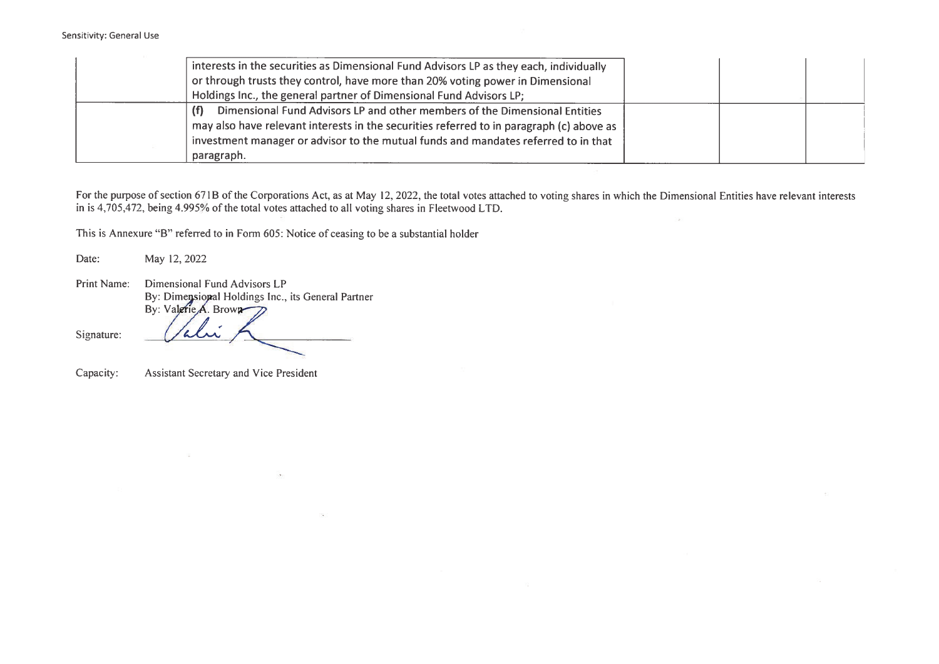| interests in the securities as Dimensional Fund Advisors LP as they each, individually   |  |  |
|------------------------------------------------------------------------------------------|--|--|
| or through trusts they control, have more than 20% voting power in Dimensional           |  |  |
| Holdings Inc., the general partner of Dimensional Fund Advisors LP;                      |  |  |
| Dimensional Fund Advisors LP and other members of the Dimensional Entities<br>(f)        |  |  |
| may also have relevant interests in the securities referred to in paragraph (c) above as |  |  |
| investment manager or advisor to the mutual funds and mandates referred to in that       |  |  |
| paragraph.                                                                               |  |  |

For the purpose of section 671B of the Corporations Act, as at May 12, 2022, the total votes attached to voting shares in which the Dimensional Entities have relevant interests in is 4,705,472, being 4.995% of the total vo

This is Annexure "B" referred to in Form 605: Notice of ceasing to be a substantial holder

 $\cdot$ 

May 12, 2022 Date:

Dimensional Fund Advisors LP Print Name: By: Dimensional Holdings Inc., its General Partner By: Valerie A. Brown

Signature:

Assistant Secretary and Vice President Capacity:

 $\mathcal{V}^{\prime}_{\mathbf{a}}$ 

alm